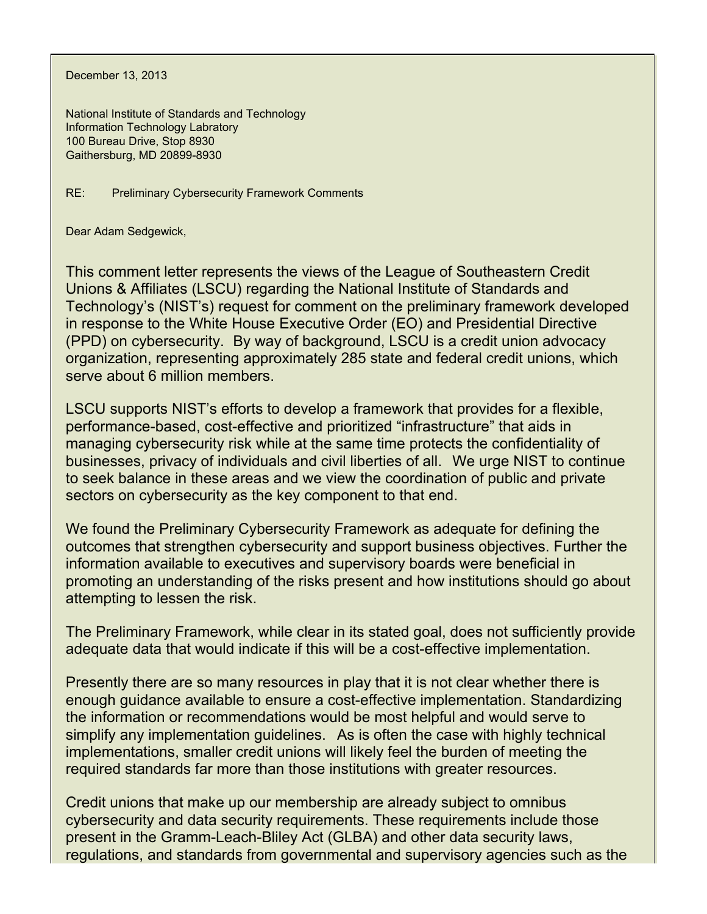December 13, 2013

National Institute of Standards and Technology Information Technology Labratory 100 Bureau Drive, Stop 8930 Gaithersburg, MD 20899-8930

RE: Preliminary Cybersecurity Framework Comments

Dear Adam Sedgewick,

 (PPD) on cybersecurity. By way of background, LSCU is a credit union advocacy This comment letter represents the views of the League of Southeastern Credit Unions & Affiliates (LSCU) regarding the National Institute of Standards and Technology's (NIST's) request for comment on the preliminary framework developed in response to the White House Executive Order (EO) and Presidential Directive organization, representing approximately 285 state and federal credit unions, which serve about 6 million members.

 businesses, privacy of individuals and civil liberties of all. We urge NIST to continue LSCU supports NIST's efforts to develop a framework that provides for a flexible, performance-based, cost-effective and prioritized "infrastructure" that aids in managing cybersecurity risk while at the same time protects the confidentiality of to seek balance in these areas and we view the coordination of public and private sectors on cybersecurity as the key component to that end.

attempting to lessen the risk. We found the Preliminary Cybersecurity Framework as adequate for defining the outcomes that strengthen cybersecurity and support business objectives. Further the information available to executives and supervisory boards were beneficial in promoting an understanding of the risks present and how institutions should go about

The Preliminary Framework, while clear in its stated goal, does not sufficiently provide adequate data that would indicate if this will be a cost-effective implementation.

 simplify any implementation guidelines. As is often the case with highly technical required standards far more than those institutions with greater resources. Presently there are so many resources in play that it is not clear whether there is enough guidance available to ensure a cost-effective implementation. Standardizing the information or recommendations would be most helpful and would serve to implementations, smaller credit unions will likely feel the burden of meeting the

Credit unions that make up our membership are already subject to omnibus cybersecurity and data security requirements. These requirements include those present in the Gramm-Leach-Bliley Act (GLBA) and other data security laws, regulations, and standards from governmental and supervisory agencies such as the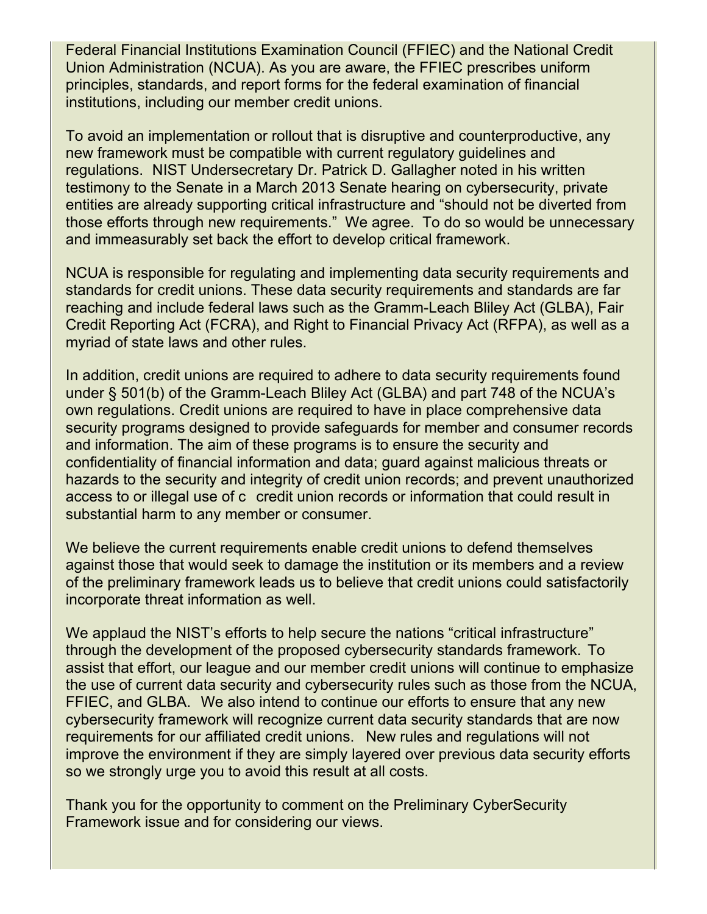Federal Financial Institutions Examination Council (FFIEC) and the National Credit Union Administration (NCUA). As you are aware, the FFIEC prescribes uniform principles, standards, and report forms for the federal examination of financial institutions, including our member credit unions.

 regulations. NIST Undersecretary Dr. Patrick D. Gallagher noted in his written those efforts through new requirements." We agree. To do so would be unnecessary and immeasurably set back the effort to develop critical framework. To avoid an implementation or rollout that is disruptive and counterproductive, any new framework must be compatible with current regulatory guidelines and testimony to the Senate in a March 2013 Senate hearing on cybersecurity, private entities are already supporting critical infrastructure and "should not be diverted from

NCUA is responsible for regulating and implementing data security reguirements and standards for credit unions. These data security requirements and standards are far reaching and include federal laws such as the Gramm-Leach Bliley Act (GLBA), Fair Credit Reporting Act (FCRA), and Right to Financial Privacy Act (RFPA), as well as a myriad of state laws and other rules.

 substantial harm to any member or consumer. In addition, credit unions are required to adhere to data security requirements found under § 501(b) of the Gramm-Leach Bliley Act (GLBA) and part 748 of the NCUA's own regulations. Credit unions are required to have in place comprehensive data security programs designed to provide safeguards for member and consumer records and information. The aim of these programs is to ensure the security and confidentiality of financial information and data; guard against malicious threats or hazards to the security and integrity of credit union records; and prevent unauthorized access to or illegal use of c credit union records or information that could result in

We believe the current requirements enable credit unions to defend themselves against those that would seek to damage the institution or its members and a review of the preliminary framework leads us to believe that credit unions could satisfactorily incorporate threat information as well.

 through the development of the proposed cybersecurity standards framework. To FFIEC, and GLBA. We also intend to continue our efforts to ensure that any new requirements for our affiliated credit unions. New rules and regulations will not so we strongly urge you to avoid this result at all costs. We applaud the NIST's efforts to help secure the nations "critical infrastructure" assist that effort, our league and our member credit unions will continue to emphasize the use of current data security and cybersecurity rules such as those from the NCUA, cybersecurity framework will recognize current data security standards that are now improve the environment if they are simply layered over previous data security efforts

Thank you for the opportunity to comment on the Preliminary CyberSecurity Framework issue and for considering our views.